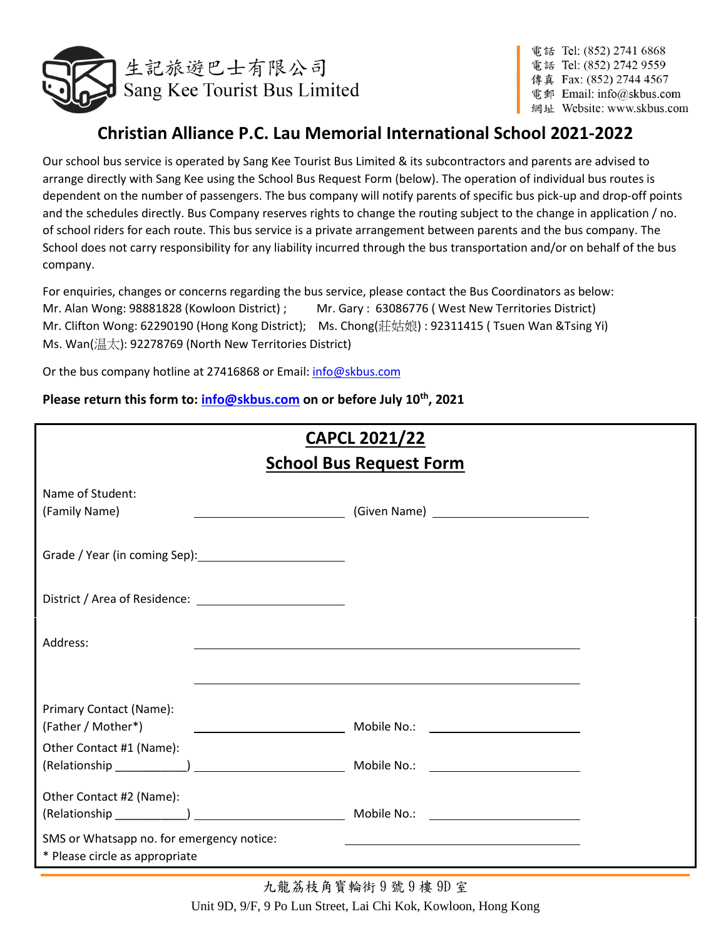

電話 Tel: (852) 2741 6868 電話 Tel: (852) 2742 9559 傳真 Fax: (852) 2744 4567 電郵 Email: info@skbus.com 網址 Website: www.skbus.com

# **Christian Alliance P.C. Lau Memorial International School 2021-2022**

Our school bus service is operated by Sang Kee Tourist Bus Limited & its subcontractors and parents are advised to arrange directly with Sang Kee using the School Bus Request Form (below). The operation of individual bus routes is dependent on the number of passengers. The bus company will notify parents of specific bus pick-up and drop-off points and the schedules directly. Bus Company reserves rights to change the routing subject to the change in application / no. of school riders for each route. This bus service is a private arrangement between parents and the bus company. The School does not carry responsibility for any liability incurred through the bus transportation and/or on behalf of the bus company.

For enquiries, changes or concerns regarding the bus service, please contact the Bus Coordinators as below: Mr. Alan Wong: 98881828 (Kowloon District) ; Mr. Gary : 63086776 ( West New Territories District) Mr. Clifton Wong: 62290190 (Hong Kong District); Ms. Chong(莊姑娘) : 92311415 ( Tsuen Wan &Tsing Yi) Ms. Wan(温太): 92278769 (North New Territories District)

Or the bus company hotline at 27416868 or Email[: info@skbus.com](mailto:info@skbus.com)

**Please return this form to: [info@skbus.com](mailto:info@skbus.com) on or before July 10th, 2021**

| <b>CAPCL 2021/22</b><br><b>School Bus Request Form</b>                      |                                                                                                                  |  |
|-----------------------------------------------------------------------------|------------------------------------------------------------------------------------------------------------------|--|
| Name of Student:                                                            |                                                                                                                  |  |
| (Family Name)                                                               |                                                                                                                  |  |
|                                                                             |                                                                                                                  |  |
|                                                                             |                                                                                                                  |  |
| Address:                                                                    |                                                                                                                  |  |
|                                                                             | and the control of the control of the control of the control of the control of the control of the control of the |  |
| Primary Contact (Name):<br>(Father / Mother*)                               |                                                                                                                  |  |
| Other Contact #1 (Name):                                                    |                                                                                                                  |  |
| Other Contact #2 (Name):                                                    |                                                                                                                  |  |
| SMS or Whatsapp no. for emergency notice:<br>* Please circle as appropriate |                                                                                                                  |  |

九龍荔枝角寳輪街 9 號 9 樓 9D 室 Unit 9D, 9/F, 9 Po Lun Street, Lai Chi Kok, Kowloon, Hong Kong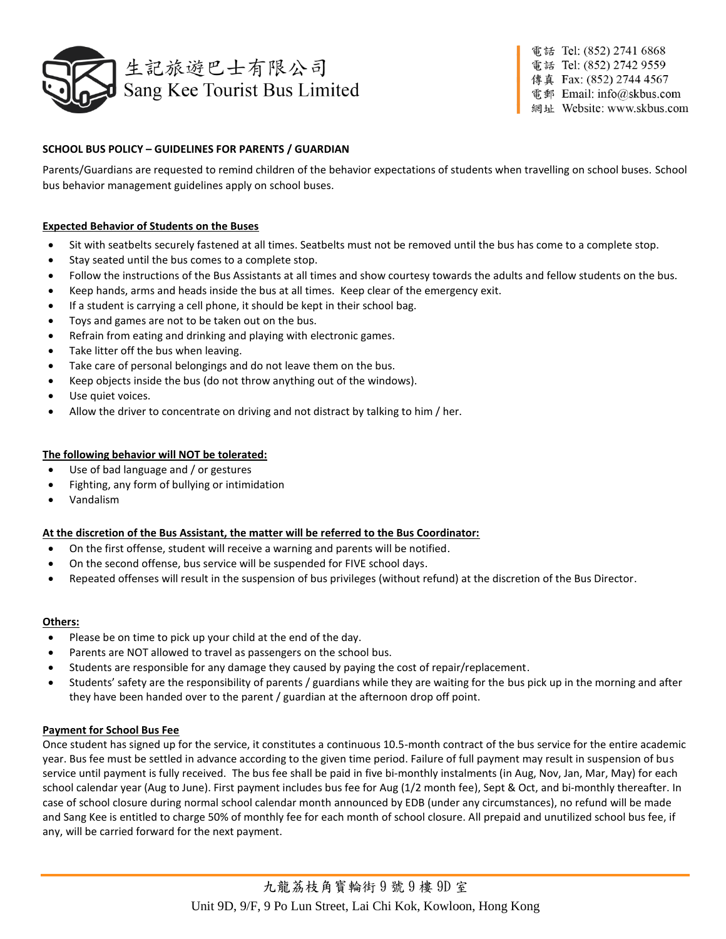

電話 Tel: (852) 2741 6868 電話 Tel: (852) 2742 9559 傳真 Fax: (852) 2744 4567 電郵 Email: info@skbus.com 網址 Website: www.skbus.com

# **SCHOOL BUS POLICY – GUIDELINES FOR PARENTS / GUARDIAN**

Parents/Guardians are requested to remind children of the behavior expectations of students when travelling on school buses. School bus behavior management guidelines apply on school buses.

# **Expected Behavior of Students on the Buses**

- Sit with seatbelts securely fastened at all times. Seatbelts must not be removed until the bus has come to a complete stop.
- Stay seated until the bus comes to a complete stop.
- Follow the instructions of the Bus Assistants at all times and show courtesy towards the adults and fellow students on the bus.
- Keep hands, arms and heads inside the bus at all times. Keep clear of the emergency exit.
- If a student is carrying a cell phone, it should be kept in their school bag.
- Toys and games are not to be taken out on the bus.
- Refrain from eating and drinking and playing with electronic games.
- Take litter off the bus when leaving.
- Take care of personal belongings and do not leave them on the bus.
- Keep objects inside the bus (do not throw anything out of the windows).
- Use quiet voices.
- Allow the driver to concentrate on driving and not distract by talking to him / her.

## **The following behavior will NOT be tolerated:**

- Use of bad language and / or gestures
- Fighting, any form of bullying or intimidation
- Vandalism

## **At the discretion of the Bus Assistant, the matter will be referred to the Bus Coordinator:**

- On the first offense, student will receive a warning and parents will be notified.
- On the second offense, bus service will be suspended for FIVE school days.
- Repeated offenses will result in the suspension of bus privileges (without refund) at the discretion of the Bus Director.

#### **Others:**

- Please be on time to pick up your child at the end of the day.
- Parents are NOT allowed to travel as passengers on the school bus.
- Students are responsible for any damage they caused by paying the cost of repair/replacement.
- Students' safety are the responsibility of parents / guardians while they are waiting for the bus pick up in the morning and after they have been handed over to the parent / guardian at the afternoon drop off point.

#### **Payment for School Bus Fee**

Once student has signed up for the service, it constitutes a continuous 10.5-month contract of the bus service for the entire academic year. Bus fee must be settled in advance according to the given time period. Failure of full payment may result in suspension of bus service until payment is fully received. The bus fee shall be paid in five bi-monthly instalments (in Aug, Nov, Jan, Mar, May) for each school calendar year (Aug to June). First payment includes bus fee for Aug (1/2 month fee), Sept & Oct, and bi-monthly thereafter. In case of school closure during normal school calendar month announced by EDB (under any circumstances), no refund will be made and Sang Kee is entitled to charge 50% of monthly fee for each month of school closure. All prepaid and unutilized school bus fee, if any, will be carried forward for the next payment.